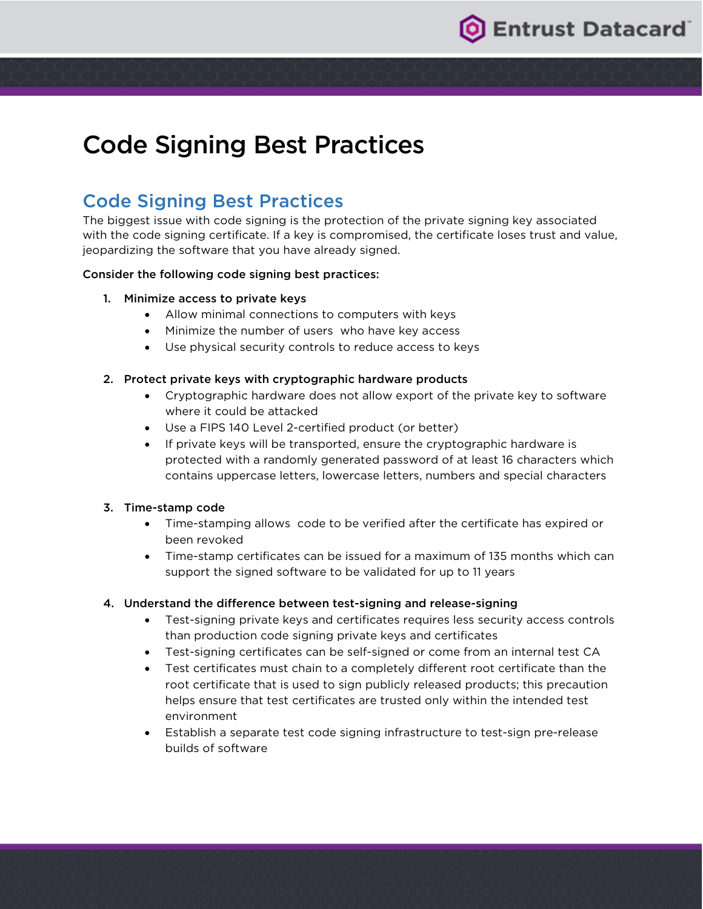

# Code Signing Best Practices

## Code Signing Best Practices

The biggest issue with code signing is the protection of the private signing key associated with the code signing certificate. If a key is compromised, the certificate loses trust and value, jeopardizing the software that you have already signed.

#### Consider the following code signing best practices:

#### 1. Minimize access to private keys

- Allow minimal connections to computers with keys
- Minimize the number of users who have key access
- Use physical security controls to reduce access to keys

#### 2. Protect private keys with cryptographic hardware products

- Cryptographic hardware does not allow export of the private key to software where it could be attacked
- Use a FIPS 140 Level 2-certified product (or better)
- If private keys will be transported, ensure the cryptographic hardware is protected with a randomly generated password of at least 16 characters which contains uppercase letters, lowercase letters, numbers and special characters

#### 3. Time-stamp code

- Time-stamping allows code to be verified after the certificate has expired or been revoked
- Time-stamp certificates can be issued for a maximum of 135 months which can support the signed software to be validated for up to 11 years

#### 4. Understand the difference between test-signing and release-signing

- Test-signing private keys and certificates requires less security access controls than production code signing private keys and certificates
- Test-signing certificates can be self-signed or come from an internal test CA
- Test certificates must chain to a completely different root certificate than the root certificate that is used to sign publicly released products; this precaution helps ensure that test certificates are trusted only within the intended test environment
- Establish a separate test code signing infrastructure to test-sign pre-release builds of software